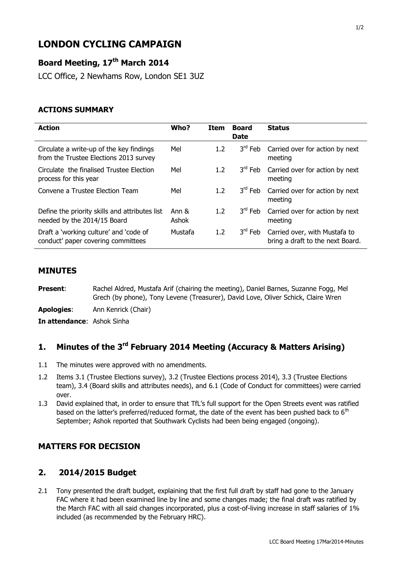# **LONDON CYCLING CAMPAIGN**

# **Board Meeting, 17th March 2014**

LCC Office, 2 Newhams Row, London SE1 3UZ

#### **ACTIONS SUMMARY**

| <b>Action</b>                                                                      | Who?           | <b>Item</b>      | <b>Board</b><br><b>Date</b> | <b>Status</b>                                                     |
|------------------------------------------------------------------------------------|----------------|------------------|-----------------------------|-------------------------------------------------------------------|
| Circulate a write-up of the key findings<br>from the Trustee Elections 2013 survey | Mel            | 1.2              | 3 <sup>ra</sup> Feb         | Carried over for action by next<br>meeting                        |
| Circulate the finalised Trustee Election<br>process for this year                  | Mel            | 1.2 <sub>2</sub> | $3rd$ Feb                   | Carried over for action by next<br>meeting                        |
| Convene a Trustee Election Team                                                    | Mel            | 1.2              | $3^{\text{rd}}$ Feb         | Carried over for action by next<br>meeting                        |
| Define the priority skills and attributes list<br>needed by the 2014/15 Board      | Ann &<br>Ashok | 1.2 <sub>2</sub> | $3^{\text{rd}}$ Feb         | Carried over for action by next<br>meeting                        |
| Draft a 'working culture' and 'code of<br>conduct' paper covering committees       | Mustafa        | 1.2 <sub>2</sub> | $3^{\text{rd}}$ Feb         | Carried over, with Mustafa to<br>bring a draft to the next Board. |

#### **MINUTES**

**Present:** Rachel Aldred, Mustafa Arif (chairing the meeting), Daniel Barnes, Suzanne Fogg, Mel Grech (by phone), Tony Levene (Treasurer), David Love, Oliver Schick, Claire Wren

**Apologies**: Ann Kenrick (Chair)

**In attendance**: Ashok Sinha

# **1. Minutes of the 3 rd February 2014 Meeting (Accuracy & Matters Arising)**

- 1.1 The minutes were approved with no amendments.
- 1.2 Items 3.1 (Trustee Elections survey), 3.2 (Trustee Elections process 2014), 3.3 (Trustee Elections team), 3.4 (Board skills and attributes needs), and 6.1 (Code of Conduct for committees) were carried over.
- 1.3 David explained that, in order to ensure that TfL's full support for the Open Streets event was ratified based on the latter's preferred/reduced format, the date of the event has been pushed back to 6<sup>th</sup> September; Ashok reported that Southwark Cyclists had been being engaged (ongoing).

### **MATTERS FOR DECISION**

#### **2. 2014/2015 Budget**

2.1 Tony presented the draft budget, explaining that the first full draft by staff had gone to the January FAC where it had been examined line by line and some changes made; the final draft was ratified by the March FAC with all said changes incorporated, plus a cost-of-living increase in staff salaries of 1% included (as recommended by the February HRC).